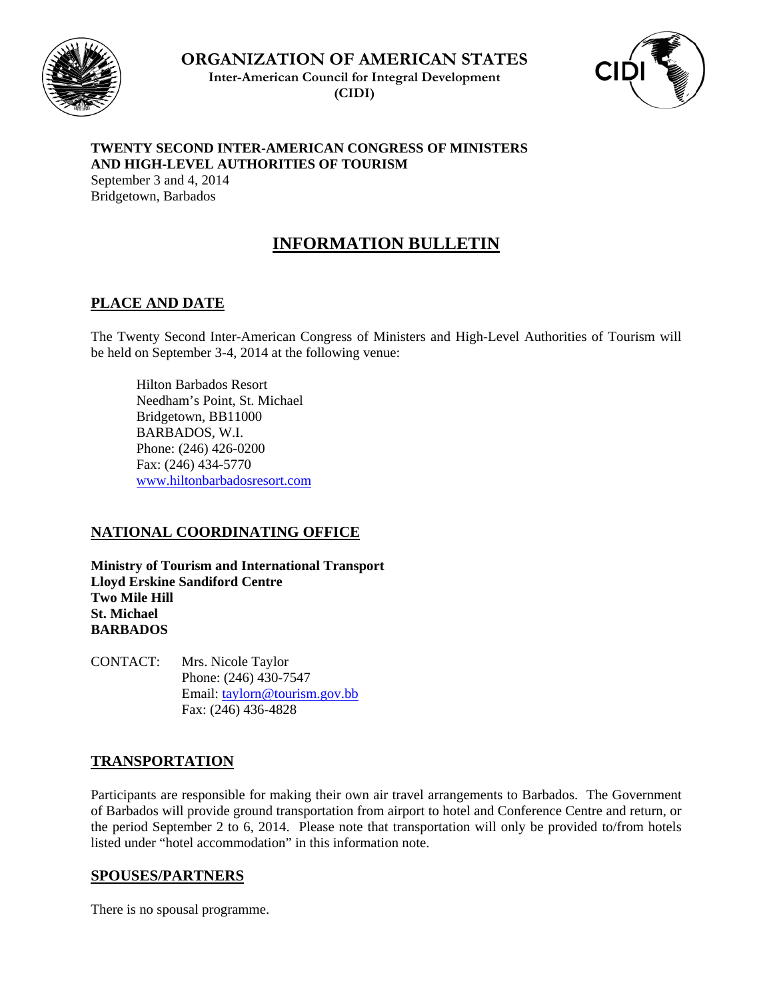

**ORGANIZATION OF AMERICAN STATES Inter-American Council for Integral Development (CIDI)**



## **TWENTY SECOND INTER-AMERICAN CONGRESS OF MINISTERS AND HIGH-LEVEL AUTHORITIES OF TOURISM**

September 3 and 4, 2014 Bridgetown, Barbados

# **INFORMATION BULLETIN**

## **PLACE AND DATE**

The Twenty Second Inter-American Congress of Ministers and High-Level Authorities of Tourism will be held on September 3-4, 2014 at the following venue:

 Hilton Barbados Resort Needham's Point, St. Michael Bridgetown, BB11000 BARBADOS, W.I. Phone: (246) 426-0200 Fax: (246) 434-5770 www.hiltonbarbadosresort.com

## **NATIONAL COORDINATING OFFICE**

**Ministry of Tourism and International Transport Lloyd Erskine Sandiford Centre Two Mile Hill St. Michael BARBADOS** 

CONTACT: Mrs. Nicole Taylor Phone: (246) 430-7547 Email: taylorn@tourism.gov.bb Fax: (246) 436-4828

## **TRANSPORTATION**

Participants are responsible for making their own air travel arrangements to Barbados. The Government of Barbados will provide ground transportation from airport to hotel and Conference Centre and return, or the period September 2 to 6, 2014. Please note that transportation will only be provided to/from hotels listed under "hotel accommodation" in this information note.

## **SPOUSES/PARTNERS**

There is no spousal programme.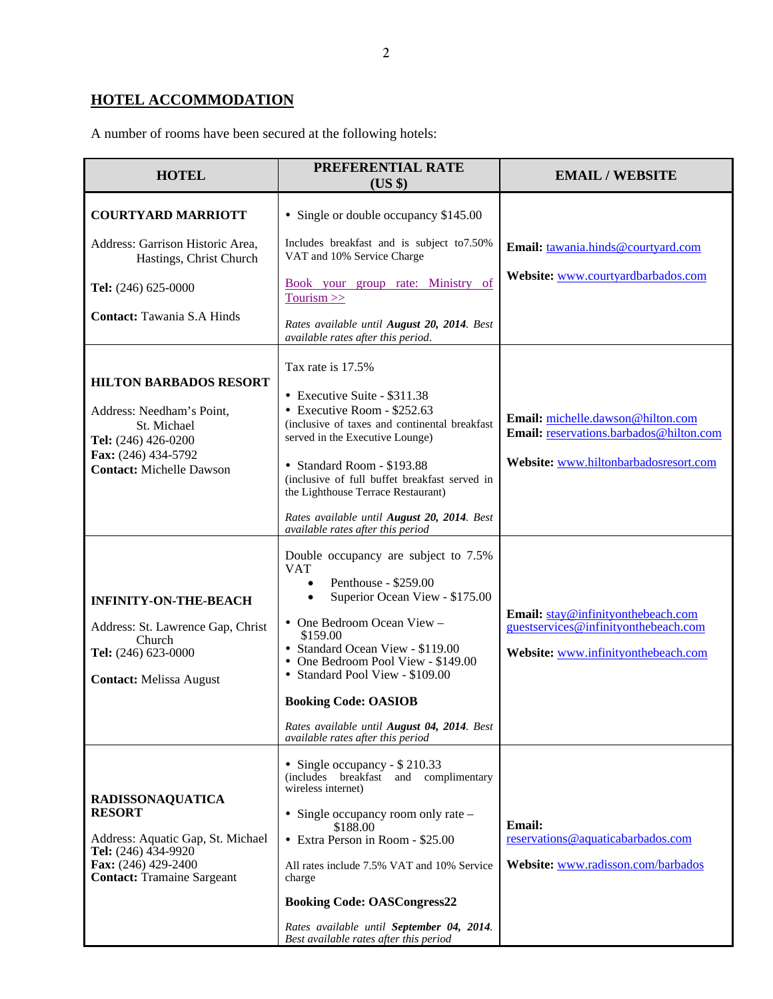# **HOTEL ACCOMMODATION**

A number of rooms have been secured at the following hotels:

| <b>HOTEL</b>                                                                                                                                                     | PREFERENTIAL RATE<br>(US \$)                                                                                                                                                                                                                                                                                                                                                                                     | <b>EMAIL / WEBSITE</b>                                                                                                |
|------------------------------------------------------------------------------------------------------------------------------------------------------------------|------------------------------------------------------------------------------------------------------------------------------------------------------------------------------------------------------------------------------------------------------------------------------------------------------------------------------------------------------------------------------------------------------------------|-----------------------------------------------------------------------------------------------------------------------|
| <b>COURTYARD MARRIOTT</b>                                                                                                                                        | • Single or double occupancy \$145.00                                                                                                                                                                                                                                                                                                                                                                            |                                                                                                                       |
| Address: Garrison Historic Area,<br>Hastings, Christ Church                                                                                                      | Includes breakfast and is subject to 7.50%<br>VAT and 10% Service Charge                                                                                                                                                                                                                                                                                                                                         | Email: tawania.hinds@courtyard.com                                                                                    |
| Tel: (246) 625-0000                                                                                                                                              | Book your group rate: Ministry of<br>Tourism $>>$                                                                                                                                                                                                                                                                                                                                                                | Website: www.courtyardbarbados.com                                                                                    |
| <b>Contact: Tawania S.A Hinds</b>                                                                                                                                | Rates available until August 20, 2014. Best<br>available rates after this period.                                                                                                                                                                                                                                                                                                                                |                                                                                                                       |
| <b>HILTON BARBADOS RESORT</b><br>Address: Needham's Point,<br>St. Michael<br>Tel: (246) 426-0200<br>Fax: (246) 434-5792<br><b>Contact: Michelle Dawson</b>       | Tax rate is 17.5%<br>• Executive Suite - \$311.38<br>• Executive Room - \$252.63<br>(inclusive of taxes and continental breakfast<br>served in the Executive Lounge)<br>• Standard Room - \$193.88<br>(inclusive of full buffet breakfast served in<br>the Lighthouse Terrace Restaurant)<br>Rates available until August 20, 2014. Best<br>available rates after this period                                    | Email: michelle.dawson@hilton.com<br>Email: reservations.barbados@hilton.com<br>Website: www.hiltonbarbadosresort.com |
| <b>INFINITY-ON-THE-BEACH</b><br>Address: St. Lawrence Gap, Christ<br>Church<br>Tel: (246) 623-0000<br><b>Contact: Melissa August</b>                             | Double occupancy are subject to 7.5%<br><b>VAT</b><br>Penthouse - \$259.00<br>$\bullet$<br>Superior Ocean View - \$175.00<br>$\bullet$<br>• One Bedroom Ocean View -<br>\$159.00<br>• Standard Ocean View - \$119.00<br>• One Bedroom Pool View - \$149.00<br>• Standard Pool View - \$109.00<br><b>Booking Code: OASIOB</b><br>Rates available until August 04, 2014. Best<br>available rates after this period | Email: stay@infinityonthebeach.com<br>guestservices@infinityonthebeach.com<br>Website: www.infinityonthebeach.com     |
| <b>RADISSONAQUATICA</b><br><b>RESORT</b><br>Address: Aquatic Gap, St. Michael<br>Tel: (246) 434-9920<br>Fax: (246) 429-2400<br><b>Contact: Tramaine Sargeant</b> | • Single occupancy - $$210.33$<br>(includes breakfast<br>and complimentary<br>wireless internet)<br>• Single occupancy room only rate –<br>\$188.00<br>• Extra Person in Room - \$25.00<br>All rates include 7.5% VAT and 10% Service<br>charge<br><b>Booking Code: OASCongress22</b><br>Rates available until September 04, 2014.<br>Best available rates after this period                                     | <b>Email:</b><br>reservations@aquaticabarbados.com<br>Website: www.radisson.com/barbados                              |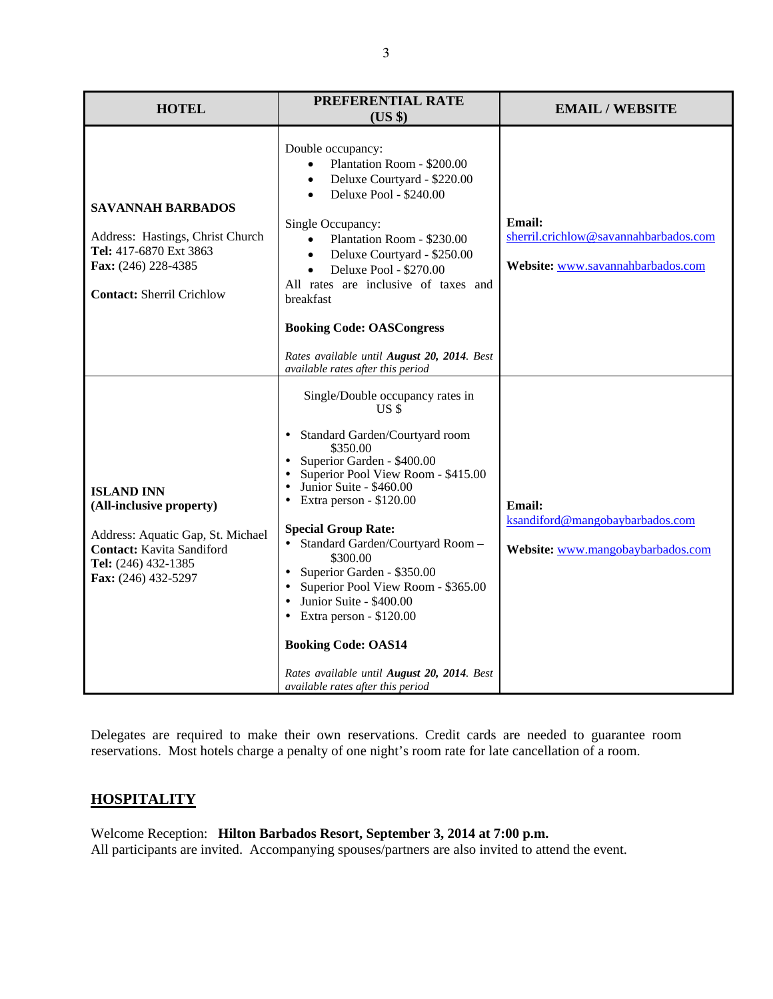| PREFERENTIAL RATE<br><b>HOTEL</b><br>$(US \$                                                                                                                         |                                                                                                                                                                                                                                                                                                                                                                                                                                                                                                                                                                                                                        | <b>EMAIL / WEBSITE</b>                                                                      |  |
|----------------------------------------------------------------------------------------------------------------------------------------------------------------------|------------------------------------------------------------------------------------------------------------------------------------------------------------------------------------------------------------------------------------------------------------------------------------------------------------------------------------------------------------------------------------------------------------------------------------------------------------------------------------------------------------------------------------------------------------------------------------------------------------------------|---------------------------------------------------------------------------------------------|--|
| <b>SAVANNAH BARBADOS</b><br>Address: Hastings, Christ Church<br>Tel: 417-6870 Ext 3863<br>Fax: (246) 228-4385<br><b>Contact: Sherril Crichlow</b>                    | Double occupancy:<br>Plantation Room - \$200.00<br>Deluxe Courtyard - \$220.00<br>Deluxe Pool - \$240.00<br>Single Occupancy:<br>Plantation Room - \$230.00<br>Deluxe Courtyard - \$250.00<br>$\bullet$<br>Deluxe Pool - \$270.00<br>All rates are inclusive of taxes and<br>breakfast                                                                                                                                                                                                                                                                                                                                 | <b>Email:</b><br>sherril.crichlow@savannahbarbados.com<br>Website: www.savannahbarbados.com |  |
|                                                                                                                                                                      | <b>Booking Code: OASCongress</b><br>Rates available until August 20, 2014. Best                                                                                                                                                                                                                                                                                                                                                                                                                                                                                                                                        |                                                                                             |  |
| <b>ISLAND INN</b><br>(All-inclusive property)<br>Address: Aquatic Gap, St. Michael<br><b>Contact:</b> Kavita Sandiford<br>Tel: (246) 432-1385<br>Fax: (246) 432-5297 | available rates after this period<br>Single/Double occupancy rates in<br>US \$<br>Standard Garden/Courtyard room<br>$\bullet$<br>\$350.00<br>Superior Garden - \$400.00<br>Superior Pool View Room - \$415.00<br>Junior Suite - \$460.00<br>Extra person - \$120.00<br>$\bullet$<br><b>Special Group Rate:</b><br>Standard Garden/Courtyard Room-<br>\$300.00<br>Superior Garden - \$350.00<br>Superior Pool View Room - \$365.00<br>Junior Suite - \$400.00<br>$\bullet$<br>Extra person - \$120.00<br><b>Booking Code: OAS14</b><br>Rates available until August 20, 2014. Best<br>available rates after this period | <b>Email:</b><br>ksandiford@mangobaybarbados.com<br>Website: www.mangobaybarbados.com       |  |

Delegates are required to make their own reservations. Credit cards are needed to guarantee room reservations. Most hotels charge a penalty of one night's room rate for late cancellation of a room.

## **HOSPITALITY**

Welcome Reception: **Hilton Barbados Resort, September 3, 2014 at 7:00 p.m.**  All participants are invited. Accompanying spouses/partners are also invited to attend the event.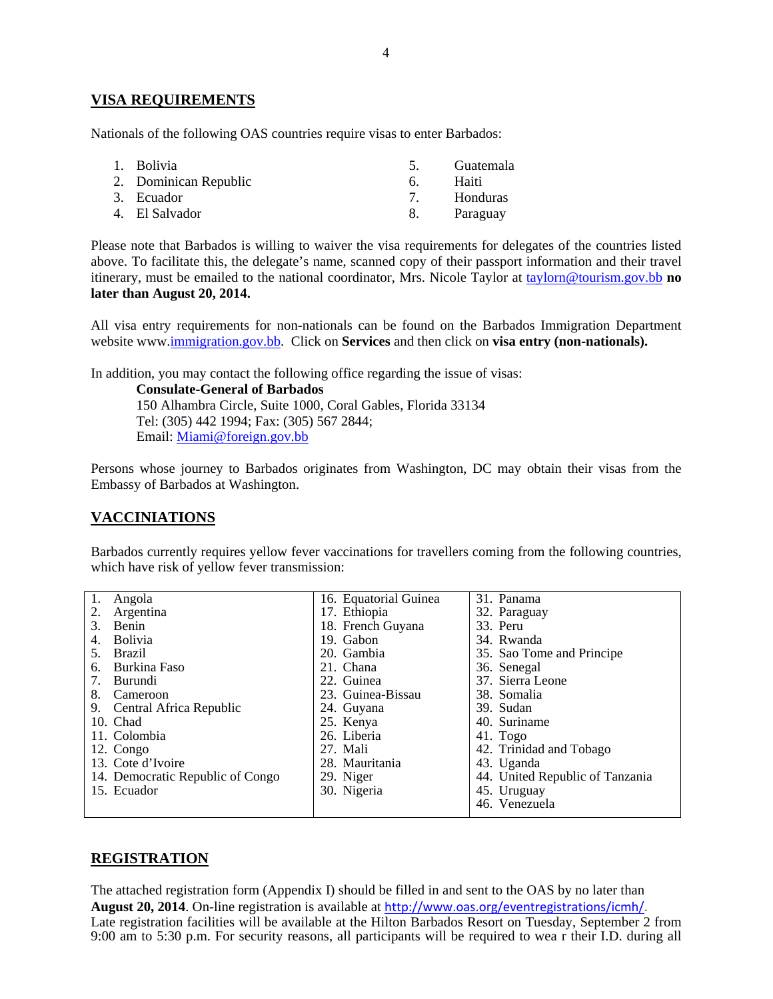## **VISA REQUIREMENTS**

Nationals of the following OAS countries require visas to enter Barbados:

| 1. Bolivia            | 5. | Guatemala       |
|-----------------------|----|-----------------|
| 2. Dominican Republic | 6  | Haiti           |
| 3. Ecuador            |    | <b>Honduras</b> |
| 4. El Salvador        | 8. | Paraguay        |

Please note that Barbados is willing to waiver the visa requirements for delegates of the countries listed above. To facilitate this, the delegate's name, scanned copy of their passport information and their travel itinerary, must be emailed to the national coordinator, Mrs. Nicole Taylor at taylorn@tourism.gov.bb **no later than August 20, 2014.**

All visa entry requirements for non-nationals can be found on the Barbados Immigration Department website www.immigration.gov.bb. Click on **Services** and then click on **visa entry (non-nationals).** 

In addition, you may contact the following office regarding the issue of visas:

**Consulate-General of Barbados**  150 Alhambra Circle, Suite 1000, Coral Gables, Florida 33134 Tel: (305) 442 1994; Fax: (305) 567 2844; Email: Miami@foreign.gov.bb

Persons whose journey to Barbados originates from Washington, DC may obtain their visas from the Embassy of Barbados at Washington.

## **VACCINIATIONS**

Barbados currently requires yellow fever vaccinations for travellers coming from the following countries, which have risk of yellow fever transmission:

| 1. | Angola                           | 16. Equatorial Guinea | 31. Panama                      |
|----|----------------------------------|-----------------------|---------------------------------|
|    | Argentina                        | 17. Ethiopia          | 32. Paraguay                    |
| 3. | Benin                            | 18. French Guyana     | 33. Peru                        |
| 4. | <b>Bolivia</b>                   | 19. Gabon             | 34. Rwanda                      |
| 5. | <b>Brazil</b>                    | 20. Gambia            | 35. Sao Tome and Principe       |
| 6. | Burkina Faso                     | 21. Chana             | 36. Senegal                     |
| 7. | Burundi                          | 22. Guinea            | 37. Sierra Leone                |
| 8. | Cameroon                         | 23. Guinea-Bissau     | 38. Somalia                     |
| 9. | Central Africa Republic          | 24. Guyana            | 39. Sudan                       |
|    | 10. Chad                         | 25. Kenya             | 40. Suriname                    |
|    | 11. Colombia                     | 26. Liberia           | $41.$ Togo                      |
|    | 12. Congo                        | 27. Mali              | 42. Trinidad and Tobago         |
|    | 13. Cote d'Ivoire                | 28. Mauritania        | 43. Uganda                      |
|    | 14. Democratic Republic of Congo | 29. Niger             | 44. United Republic of Tanzania |
|    | 15. Ecuador                      | 30. Nigeria           | 45. Uruguay                     |
|    |                                  |                       | 46. Venezuela                   |

## **REGISTRATION**

The attached registration form (Appendix I) should be filled in and sent to the OAS by no later than **August 20, 2014**. On-line registration is available at http://www.oas.org/eventregistrations/icmh/. Late registration facilities will be available at the Hilton Barbados Resort on Tuesday, September 2 from 9:00 am to 5:30 p.m. For security reasons, all participants will be required to wea r their I.D. during all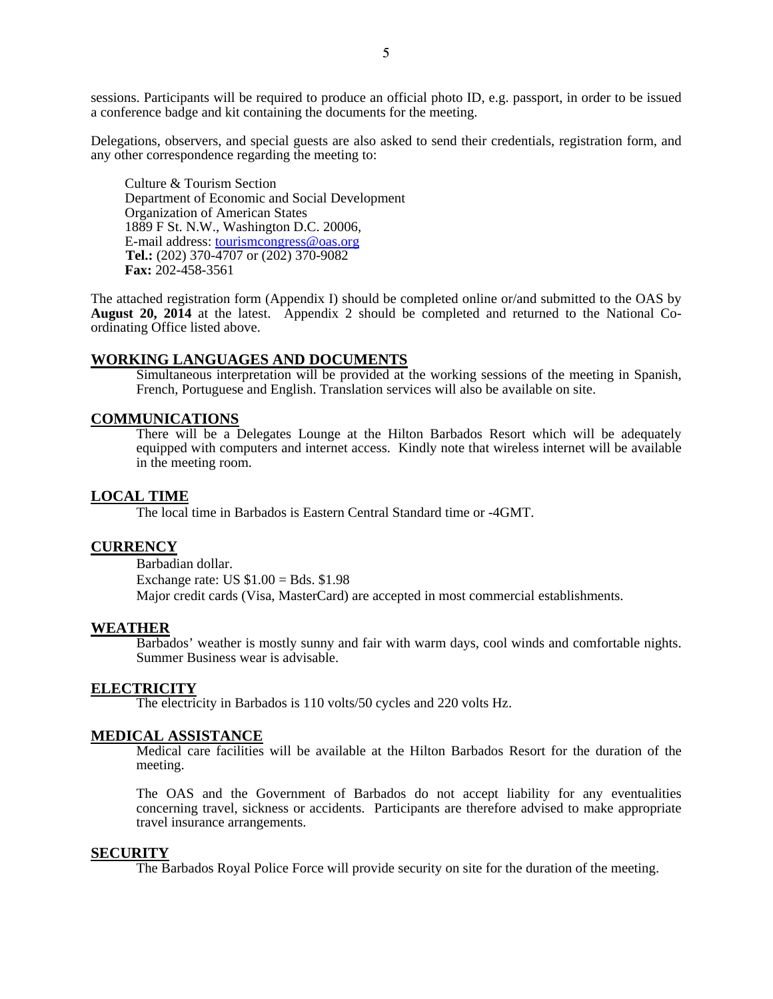sessions. Participants will be required to produce an official photo ID, e.g. passport, in order to be issued a conference badge and kit containing the documents for the meeting.

Delegations, observers, and special guests are also asked to send their credentials, registration form, and any other correspondence regarding the meeting to:

 Culture & Tourism Section Department of Economic and Social Development Organization of American States 1889 F St. N.W., Washington D.C. 20006, E-mail address: tourismcongress@oas.org **Tel.:** (202) 370-4707 or (202) 370-9082 **Fax:** 202-458-3561

The attached registration form (Appendix I) should be completed online or/and submitted to the OAS by **August 20, 2014** at the latest. Appendix 2 should be completed and returned to the National Coordinating Office listed above.

### **WORKING LANGUAGES AND DOCUMENTS**

Simultaneous interpretation will be provided at the working sessions of the meeting in Spanish, French, Portuguese and English. Translation services will also be available on site.

## **COMMUNICATIONS**

There will be a Delegates Lounge at the Hilton Barbados Resort which will be adequately equipped with computers and internet access. Kindly note that wireless internet will be available in the meeting room.

#### **LOCAL TIME**

The local time in Barbados is Eastern Central Standard time or -4GMT.

### **CURRENCY**

Barbadian dollar. Exchange rate: US  $$1.00 = Bds. $1.98$ Major credit cards (Visa, MasterCard) are accepted in most commercial establishments.

#### **WEATHER**

Barbados' weather is mostly sunny and fair with warm days, cool winds and comfortable nights. Summer Business wear is advisable.

#### **ELECTRICITY**

The electricity in Barbados is 110 volts/50 cycles and 220 volts Hz.

#### **MEDICAL ASSISTANCE**

Medical care facilities will be available at the Hilton Barbados Resort for the duration of the meeting.

The OAS and the Government of Barbados do not accept liability for any eventualities concerning travel, sickness or accidents. Participants are therefore advised to make appropriate travel insurance arrangements.

#### **SECURITY**

The Barbados Royal Police Force will provide security on site for the duration of the meeting.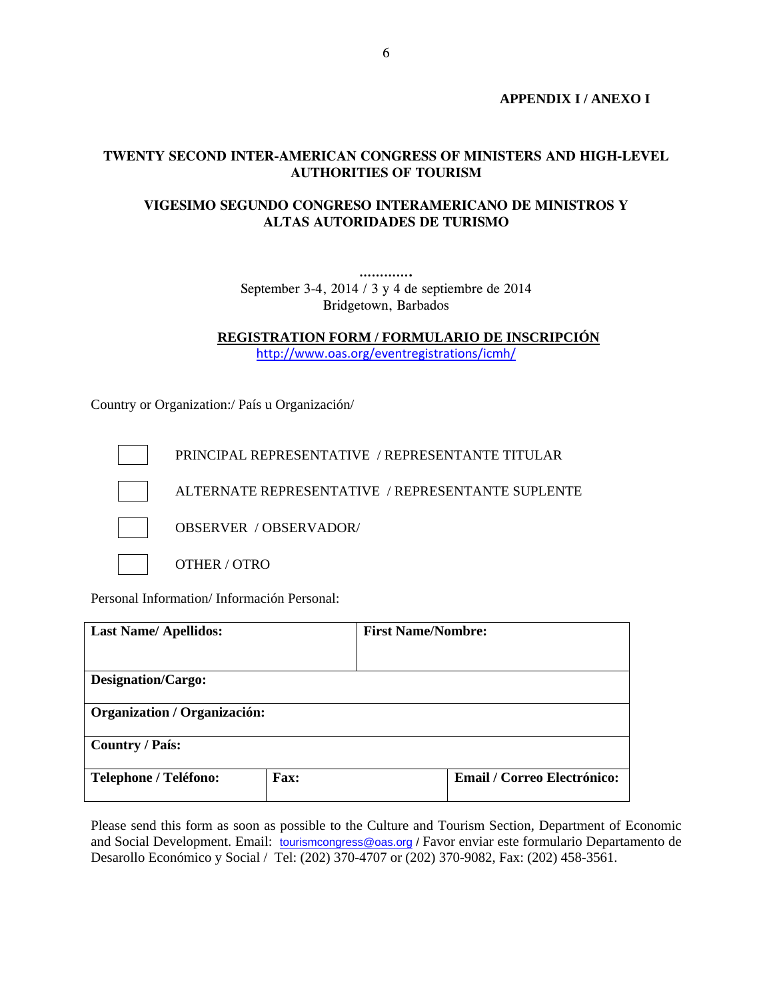**APPENDIX I / ANEXO I** 

## **TWENTY SECOND INTER-AMERICAN CONGRESS OF MINISTERS AND HIGH-LEVEL AUTHORITIES OF TOURISM**

## **VIGESIMO SEGUNDO CONGRESO INTERAMERICANO DE MINISTROS Y ALTAS AUTORIDADES DE TURISMO**

**………….**  September 3-4, 2014 / 3 y 4 de septiembre de 2014 Bridgetown, Barbados

**REGISTRATION FORM / FORMULARIO DE INSCRIPCIÓN** 

http://www.oas.org/eventregistrations/icmh/

Country or Organization:/ País u Organización/



Personal Information/ Información Personal:

| <b>Last Name/Apellidos:</b>         |             | <b>First Name/Nombre:</b> |                                    |
|-------------------------------------|-------------|---------------------------|------------------------------------|
|                                     |             |                           |                                    |
| <b>Designation/Cargo:</b>           |             |                           |                                    |
| <b>Organization / Organización:</b> |             |                           |                                    |
| <b>Country / País:</b>              |             |                           |                                    |
| <b>Telephone / Teléfono:</b>        | <b>Fax:</b> |                           | <b>Email / Correo Electrónico:</b> |

Please send this form as soon as possible to the Culture and Tourism Section, Department of Economic and Social Development. Email: tourismcongress@oas.org / Favor enviar este formulario Departamento de Desarollo Económico y Social / Tel: (202) 370-4707 or (202) 370-9082, Fax: (202) 458-3561.